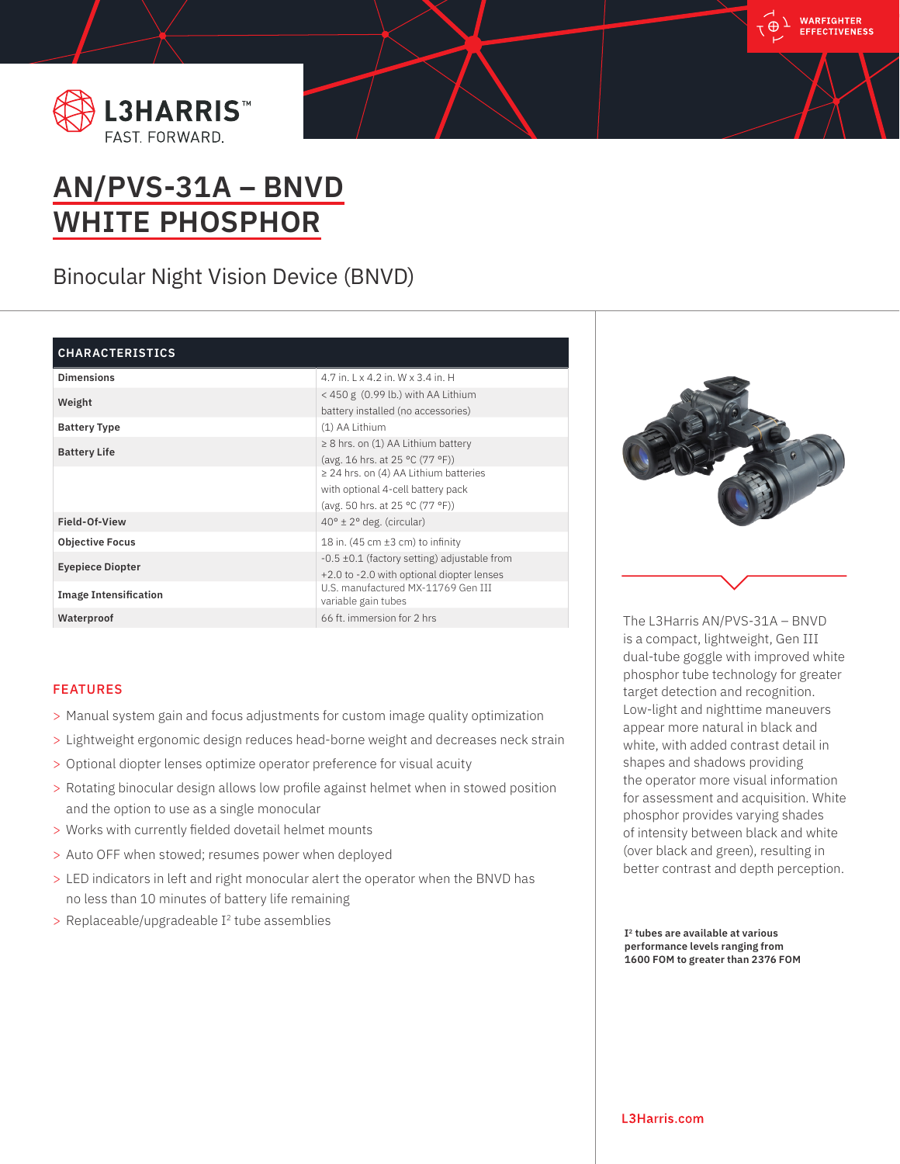



# **AN/PVS-31A – BNVD WHITE PHOSPHOR**

Binocular Night Vision Device (BNVD)

## **CHARACTERISTICS**

| <b>Dimensions</b>            | 4.7 in. 1 x 4.2 in. W x 3.4 in. H                         |
|------------------------------|-----------------------------------------------------------|
| Weight                       | $<$ 450 g (0.99 lb.) with AA Lithium                      |
|                              | battery installed (no accessories)                        |
| <b>Battery Type</b>          | (1) AA Lithium                                            |
| <b>Battery Life</b>          | $\geq$ 8 hrs. on (1) AA Lithium battery                   |
|                              | (avg. 16 hrs. at 25 °C (77 °F))                           |
|                              | $\geq$ 24 hrs. on (4) AA Lithium batteries                |
|                              | with optional 4-cell battery pack                         |
|                              | (avg. 50 hrs. at 25 °C (77 °F))                           |
| Field-Of-View                | $40^{\circ} \pm 2^{\circ}$ deg. (circular)                |
| <b>Objective Focus</b>       | 18 in. $(45 \text{ cm} \pm 3 \text{ cm})$ to infinity     |
| <b>Eyepiece Diopter</b>      | $-0.5 \pm 0.1$ (factory setting) adjustable from          |
|                              | +2.0 to -2.0 with optional diopter lenses                 |
| <b>Image Intensification</b> | U.S. manufactured MX-11769 Gen III<br>variable gain tubes |
| Waterproof                   | 66 ft. immersion for 2 hrs.                               |
|                              |                                                           |

## FEATURES

- > Manual system gain and focus adjustments for custom image quality optimization
- > Lightweight ergonomic design reduces head-borne weight and decreases neck strain
- > Optional diopter lenses optimize operator preference for visual acuity
- > Rotating binocular design allows low profile against helmet when in stowed position and the option to use as a single monocular
- > Works with currently fielded dovetail helmet mounts
- > Auto OFF when stowed; resumes power when deployed
- > LED indicators in left and right monocular alert the operator when the BNVD has no less than 10 minutes of battery life remaining
- $>$  Replaceable/upgradeable I<sup>2</sup> tube assemblies



The L3Harris AN/PVS-31A – BNVD is a compact, lightweight, Gen III dual-tube goggle with improved white phosphor tube technology for greater target detection and recognition. Low-light and nighttime maneuvers appear more natural in black and white, with added contrast detail in shapes and shadows providing the operator more visual information for assessment and acquisition. White phosphor provides varying shades of intensity between black and white (over black and green), resulting in better contrast and depth perception.

**I2 tubes are available at various performance levels ranging from 1600 FOM to greater than 2376 FOM**